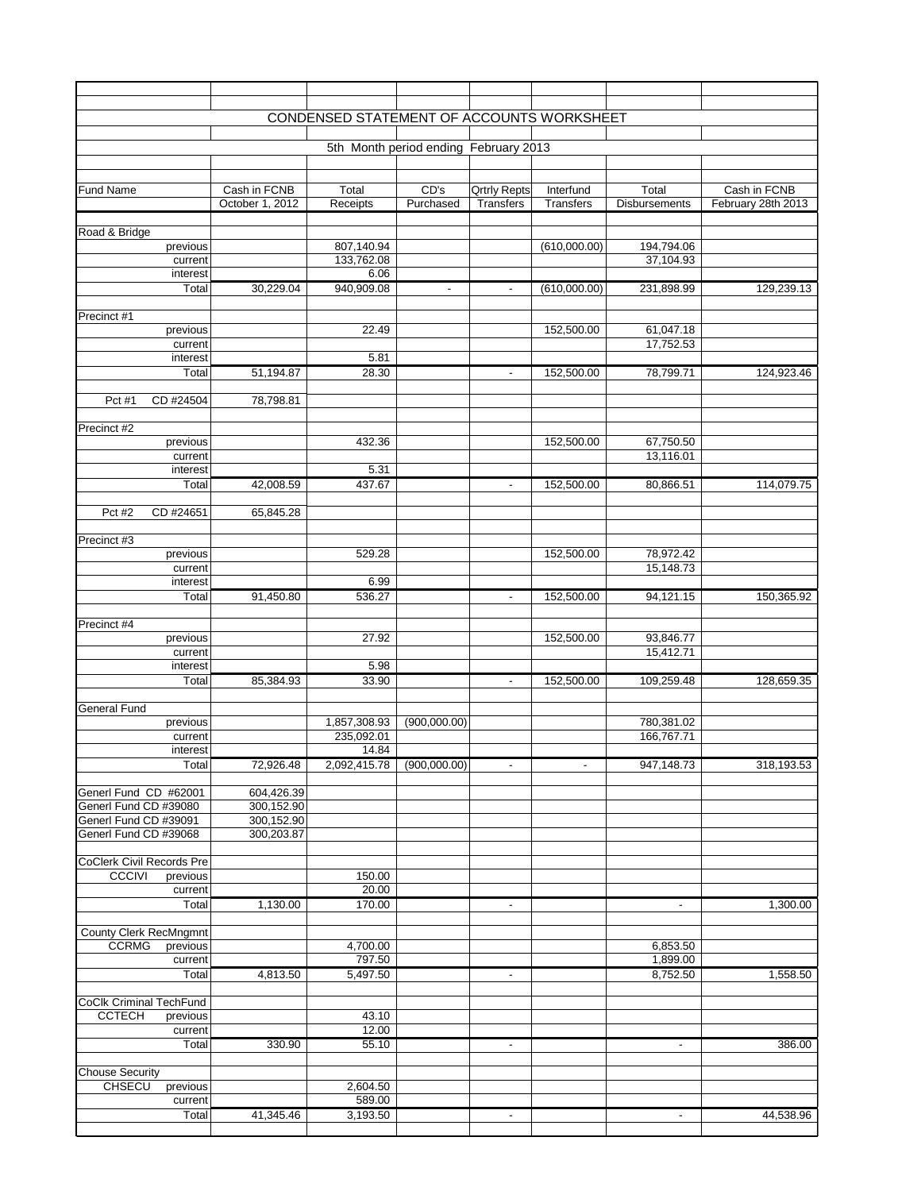|                                                |                          | CONDENSED STATEMENT OF ACCOUNTS WORKSHEET |                                       |                     |                  |                      |                    |
|------------------------------------------------|--------------------------|-------------------------------------------|---------------------------------------|---------------------|------------------|----------------------|--------------------|
|                                                |                          |                                           | 5th Month period ending February 2013 |                     |                  |                      |                    |
| <b>Fund Name</b>                               | Cash in FCNB             | Total                                     | CD's                                  | <b>Qrtrly Repts</b> | Interfund        | Total                | Cash in FCNB       |
|                                                | October 1, 2012          | Receipts                                  | Purchased                             | <b>Transfers</b>    | <b>Transfers</b> | <b>Disbursements</b> | February 28th 2013 |
| Road & Bridge                                  |                          |                                           |                                       |                     |                  |                      |                    |
| previous                                       |                          | 807,140.94                                |                                       |                     | (610,000.00)     | 194,794.06           |                    |
| current                                        |                          | 133,762.08<br>6.06                        |                                       |                     |                  | 37,104.93            |                    |
| interest<br>Total                              | 30,229.04                | 940,909.08                                | $\overline{\phantom{a}}$              | ٠                   | (610,000.00)     | 231,898.99           | 129,239.13         |
|                                                |                          |                                           |                                       |                     |                  |                      |                    |
| Precinct #1<br>previous                        |                          | 22.49                                     |                                       |                     | 152,500.00       | 61,047.18            |                    |
| current                                        |                          |                                           |                                       |                     |                  | 17,752.53            |                    |
| interest<br>Total                              | 51,194.87                | 5.81<br>28.30                             |                                       |                     | 152,500.00       | 78,799.71            | 124,923.46         |
|                                                |                          |                                           |                                       | $\blacksquare$      |                  |                      |                    |
| CD #24504<br>Pct #1                            | 78,798.81                |                                           |                                       |                     |                  |                      |                    |
| Precinct #2                                    |                          |                                           |                                       |                     |                  |                      |                    |
| previous                                       |                          | 432.36                                    |                                       |                     | 152,500.00       | 67,750.50            |                    |
| current<br>interest                            |                          | 5.31                                      |                                       |                     |                  | 13,116.01            |                    |
| Total                                          | 42,008.59                | 437.67                                    |                                       | $\sim$              | 152,500.00       | 80,866.51            | 114,079.75         |
| $\overline{P}$ ct #2<br>CD #24651              | 65,845.28                |                                           |                                       |                     |                  |                      |                    |
| Precinct #3                                    |                          |                                           |                                       |                     |                  |                      |                    |
| previous                                       |                          | 529.28                                    |                                       |                     | 152,500.00       | 78,972.42            |                    |
| current<br><i>interest</i>                     |                          | 6.99                                      |                                       |                     |                  | 15,148.73            |                    |
| Total                                          | 91,450.80                | 536.27                                    |                                       | $\blacksquare$      | 152,500.00       | 94,121.15            | 150,365.92         |
| Precinct #4                                    |                          |                                           |                                       |                     |                  |                      |                    |
| previous                                       |                          | 27.92                                     |                                       |                     | 152,500.00       | 93,846.77            |                    |
| current<br>interest                            |                          | 5.98                                      |                                       |                     |                  | 15,412.71            |                    |
| Total                                          | 85,384.93                | 33.90                                     |                                       | $\blacksquare$      | 152,500.00       | 109,259.48           | 128,659.35         |
| <b>General Fund</b>                            |                          |                                           |                                       |                     |                  |                      |                    |
| previous                                       |                          | 1,857,308.93                              | (900,000.00)                          |                     |                  | 780,381.02           |                    |
| current                                        |                          | 235,092.01                                |                                       |                     |                  | 166,767.71           |                    |
| interest<br>Total                              | 72,926.48                | 14.84<br>2,092,415.78                     | (900,000.00)                          | $\sim$              | $\blacksquare$   | 947, 148.73          | 318,193.53         |
|                                                |                          |                                           |                                       |                     |                  |                      |                    |
| Generl Fund CD #62001                          | 604,426.39               |                                           |                                       |                     |                  |                      |                    |
| Generl Fund CD #39080<br>Generl Fund CD #39091 | 300,152.90<br>300,152.90 |                                           |                                       |                     |                  |                      |                    |
| Generl Fund CD #39068                          | 300,203.87               |                                           |                                       |                     |                  |                      |                    |
| <b>CoClerk Civil Records Pre</b>               |                          |                                           |                                       |                     |                  |                      |                    |
| <b>CCCIVI</b><br>previous                      |                          | 150.00                                    |                                       |                     |                  |                      |                    |
| current                                        |                          | 20.00                                     |                                       |                     |                  |                      |                    |
| Total                                          | 1,130.00                 | 170.00                                    |                                       | $\blacksquare$      |                  | $\blacksquare$       | 1,300.00           |
| <b>County Clerk RecMngmnt</b>                  |                          |                                           |                                       |                     |                  |                      |                    |
| <b>CCRMG</b><br>previous<br>current            |                          | 4,700.00<br>797.50                        |                                       |                     |                  | 6,853.50<br>1,899.00 |                    |
| Total                                          | 4,813.50                 | 5,497.50                                  |                                       | ٠                   |                  | 8,752.50             | 1,558.50           |
| <b>CoClk Criminal TechFund</b>                 |                          |                                           |                                       |                     |                  |                      |                    |
| <b>CCTECH</b><br>previous                      |                          | 43.10                                     |                                       |                     |                  |                      |                    |
| current                                        |                          | 12.00                                     |                                       |                     |                  |                      |                    |
| Total                                          | 330.90                   | 55.10                                     |                                       | $\sim$              |                  | $\sim$               | 386.00             |
| <b>Chouse Security</b>                         |                          |                                           |                                       |                     |                  |                      |                    |
| <b>CHSECU</b><br>previous<br>current           |                          | 2,604.50<br>589.00                        |                                       |                     |                  |                      |                    |
| Total                                          | 41,345.46                | 3,193.50                                  |                                       | $\blacksquare$      |                  | $\blacksquare$       | 44,538.96          |
|                                                |                          |                                           |                                       |                     |                  |                      |                    |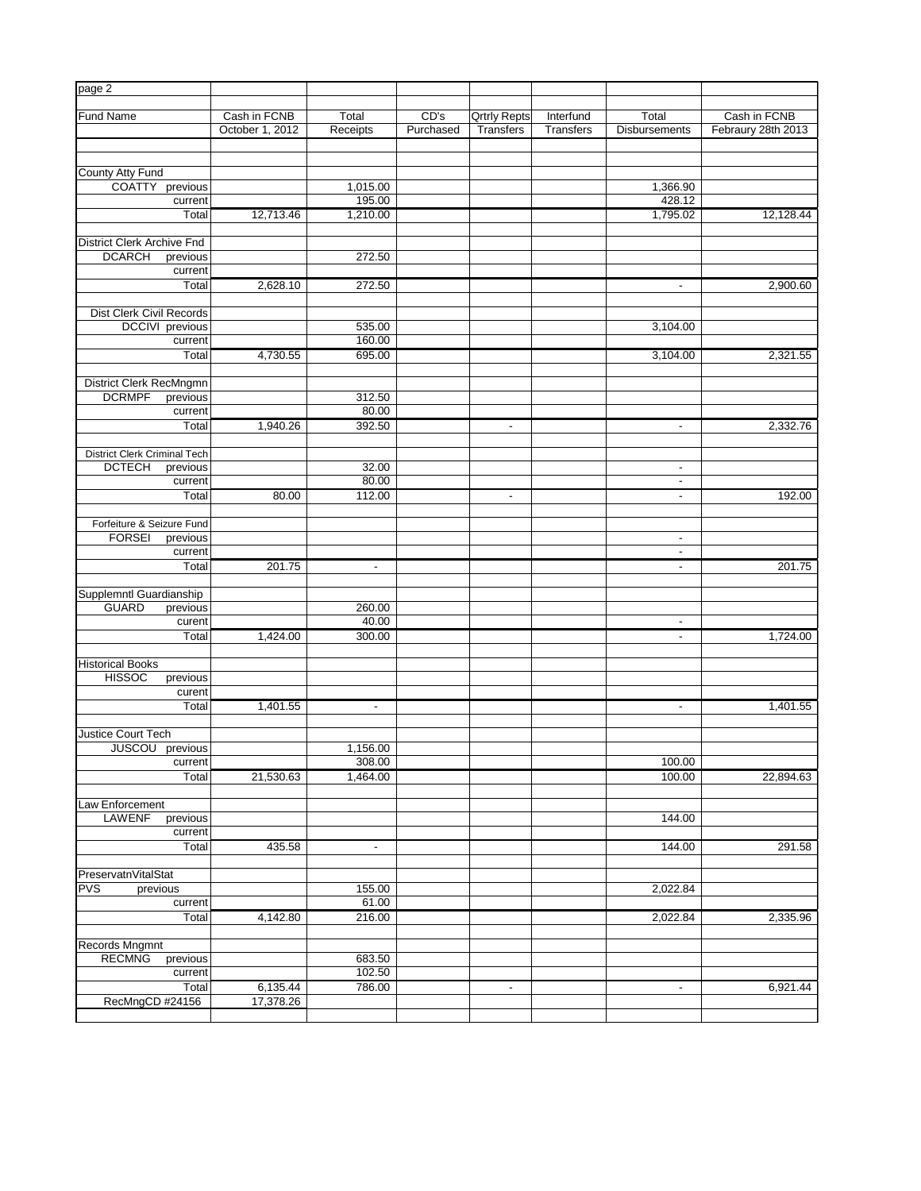| page 2                             |                 |                 |           |                     |                  |                          |                    |
|------------------------------------|-----------------|-----------------|-----------|---------------------|------------------|--------------------------|--------------------|
| <b>Fund Name</b>                   | Cash in FCNB    | Total           | CD's      | <b>Qrtrly Repts</b> | Interfund        | Total                    | Cash in FCNB       |
|                                    | October 1, 2012 | Receipts        | Purchased | <b>Transfers</b>    | <b>Transfers</b> | <b>Disbursements</b>     | Febraury 28th 2013 |
|                                    |                 |                 |           |                     |                  |                          |                    |
| County Atty Fund                   |                 |                 |           |                     |                  |                          |                    |
| <b>COATTY</b><br>previous          |                 | 1,015.00        |           |                     |                  | 1,366.90                 |                    |
| current                            |                 | 195.00          |           |                     |                  | 428.12                   |                    |
| Total                              | 12,713.46       | 1,210.00        |           |                     |                  | 1,795.02                 | 12,128.44          |
|                                    |                 |                 |           |                     |                  |                          |                    |
| <b>District Clerk Archive Fnd</b>  |                 |                 |           |                     |                  |                          |                    |
| <b>DCARCH</b><br>previous          |                 | 272.50          |           |                     |                  |                          |                    |
| current                            |                 |                 |           |                     |                  |                          |                    |
| Total                              | 2,628.10        | 272.50          |           |                     |                  | $\overline{\phantom{a}}$ | 2,900.60           |
|                                    |                 |                 |           |                     |                  |                          |                    |
| Dist Clerk Civil Records           |                 |                 |           |                     |                  |                          |                    |
| DCCIVI previous                    |                 | 535.00          |           |                     |                  | 3,104.00                 |                    |
| current                            |                 | 160.00          |           |                     |                  |                          |                    |
| Total                              | 4,730.55        | 695.00          |           |                     |                  | 3,104.00                 | 2,321.55           |
|                                    |                 |                 |           |                     |                  |                          |                    |
| District Clerk RecMngmn            |                 |                 |           |                     |                  |                          |                    |
| <b>DCRMPF</b><br>previous          |                 | 312.50          |           |                     |                  |                          |                    |
| current                            |                 | 80.00           |           |                     |                  |                          |                    |
| Total                              | 1,940.26        | 392.50          |           | $\blacksquare$      |                  | $\blacksquare$           | 2,332.76           |
|                                    |                 |                 |           |                     |                  |                          |                    |
| District Clerk Criminal Tech       |                 |                 |           |                     |                  |                          |                    |
| <b>DCTECH</b><br>previous          |                 | 32.00           |           |                     |                  | $\blacksquare$           |                    |
| current                            |                 | 80.00           |           |                     |                  | $\overline{\phantom{a}}$ |                    |
| Total                              | 80.00           | 112.00          |           | $\sim$              |                  | $\sim$                   | 192.00             |
|                                    |                 |                 |           |                     |                  |                          |                    |
| Forfeiture & Seizure Fund          |                 |                 |           |                     |                  |                          |                    |
| <b>FORSEI</b><br>previous          |                 |                 |           |                     |                  | $\blacksquare$           |                    |
| current                            |                 |                 |           |                     |                  | $\blacksquare$           |                    |
| Total                              | 201.75          | $\blacksquare$  |           |                     |                  | $\blacksquare$           | 201.75             |
|                                    |                 |                 |           |                     |                  |                          |                    |
| Supplemntl Guardianship            |                 |                 |           |                     |                  |                          |                    |
| <b>GUARD</b><br>previous<br>curent |                 | 260.00<br>40.00 |           |                     |                  | $\blacksquare$           |                    |
| Total                              | 1,424.00        | 300.00          |           |                     |                  |                          | 1,724.00           |
|                                    |                 |                 |           |                     |                  | $\blacksquare$           |                    |
| <b>Historical Books</b>            |                 |                 |           |                     |                  |                          |                    |
| <b>HISSOC</b><br>previous          |                 |                 |           |                     |                  |                          |                    |
| curent                             |                 |                 |           |                     |                  |                          |                    |
| Total                              | 1,401.55        | $\blacksquare$  |           |                     |                  | $\blacksquare$           | 1,401.55           |
|                                    |                 |                 |           |                     |                  |                          |                    |
| Justice Court Tech                 |                 |                 |           |                     |                  |                          |                    |
| previous<br><b>JUSCOU</b>          |                 | 1,156.00        |           |                     |                  |                          |                    |
| current                            |                 | 308.00          |           |                     |                  | 100.00                   |                    |
| Total                              | 21,530.63       | 1,464.00        |           |                     |                  | 100.00                   | 22,894.63          |
|                                    |                 |                 |           |                     |                  |                          |                    |
| Law Enforcement                    |                 |                 |           |                     |                  |                          |                    |
| <b>LAWENF</b><br>previous          |                 |                 |           |                     |                  | 144.00                   |                    |
| current                            |                 |                 |           |                     |                  |                          |                    |
| Total                              | 435.58          | $\blacksquare$  |           |                     |                  | 144.00                   | 291.58             |
|                                    |                 |                 |           |                     |                  |                          |                    |
| PreservatnVitalStat                |                 |                 |           |                     |                  |                          |                    |
| <b>PVS</b><br>previous             |                 | 155.00          |           |                     |                  | 2,022.84                 |                    |
| current                            |                 | 61.00           |           |                     |                  |                          |                    |
| Total                              | 4,142.80        | 216.00          |           |                     |                  | 2,022.84                 | 2,335.96           |
|                                    |                 |                 |           |                     |                  |                          |                    |
| Records Mngmnt                     |                 |                 |           |                     |                  |                          |                    |
| <b>RECMNG</b><br>previous          |                 | 683.50          |           |                     |                  |                          |                    |
| current                            |                 | 102.50          |           |                     |                  |                          |                    |
| Total                              | 6,135.44        | 786.00          |           | ٠                   |                  | ٠                        | 6,921.44           |
| RecMngCD #24156                    | 17,378.26       |                 |           |                     |                  |                          |                    |
|                                    |                 |                 |           |                     |                  |                          |                    |